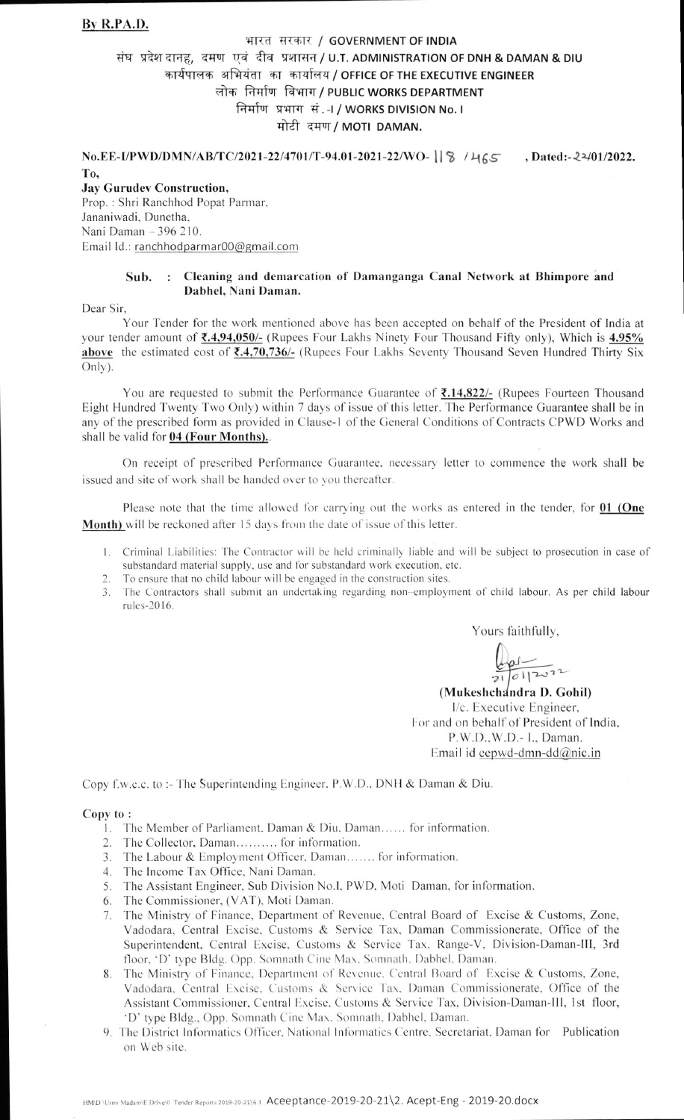## भारत सरकार / GOVERNMENT OF INDIA संघ प्रदेश दानह, दमण एवं दीव प्रशासन / U.T. ADMINISTRATION OF DNH & DAMAN & DIU कार्यपालक अभियंता का कार्यालय / OFFICE OF THE EXECUTIVE ENGINEER लोक निर्माण विभाग / PUBLIC WORKS DEPARTMENT निर्माण प्रभाग सं.- I / WORKS DIVISION No. I मोटी दमण / MOTI DAMAN.

No.EE-I/PWD/DMN/AB/TC/2021-22/4701/T-94.01-2021-22/WO- 18 /465 , Dated:-22/01/2022. T<sub>0</sub>.

**Jay Gurudev Construction,** Prop.: Shri Ranchhod Popat Parmar, Jananiwadi, Dunetha, Nani Daman - 396 210. Email Id.: ranchhodparmar00@gmail.com

## Sub. : Cleaning and demarcation of Damanganga Canal Network at Bhimpore and Dabhel, Nani Daman.

Dear Sir,

Your Tender for the work mentioned above has been accepted on behalf of the President of India at your tender amount of **₹.4,94,050/-** (Rupees Four Lakhs Ninety Four Thousand Fifty only), Which is 4.95% above the estimated cost of  $\overline{(}3.4, 70, 736/(-$  (Rupees Four Lakhs Seventy Thousand Seven Hundred Thirty Six Only).

You are requested to submit the Performance Guarantee of ₹.14,822/- (Rupees Fourteen Thousand Eight Hundred Twenty Two Only) within 7 days of issue of this letter. The Performance Guarantee shall be in any of the prescribed form as provided in Clause-1 of the General Conditions of Contracts CPWD Works and shall be valid for 04 (Four Months)..

On receipt of prescribed Performance Guarantee, necessary letter to commence the work shall be issued and site of work shall be handed over to you thereafter.

Please note that the time allowed for carrying out the works as entered in the tender, for 01 (One Month) will be reckoned after 15 days from the date of issue of this letter.

- 1. Criminal Liabilities: The Contractor will be held criminally liable and will be subject to prosecution in case of substandard material supply, use and for substandard work execution, etc.
- 2. To ensure that no child labour will be engaged in the construction sites.
- 3. The Contractors shall submit an undertaking regarding non-employment of child labour. As per child labour rules-2016.

Yours faithfully,

 $\frac{1}{21}$   $\frac{1}{21}$ 

(Mukeshchandra D. Gohil) I/c. Executive Engineer, For and on behalf of President of India, P.W.D., W.D.- I., Daman. Email id eepwd-dmn-dd $@$ nic.in

Copy f.w.c.c. to :- The Superintending Engineer, P.W.D., DNH & Daman & Diu.

## Copy to:

- 1. The Member of Parliament, Daman & Diu, Daman...... for information.
- 2. The Collector, Daman.......... for information.
- 3. The Labour & Employment Officer, Daman....... for information.
- 4. The Income Tax Office, Nani Daman.
- 5. The Assistant Engineer, Sub Division No.I, PWD, Moti Daman, for information.
- 6. The Commissioner, (VAT), Moti Daman.
- 7. The Ministry of Finance, Department of Revenue, Central Board of Excise & Customs, Zone, Vadodara, Central Excise, Customs & Service Tax, Daman Commissionerate, Office of the Superintendent, Central Excise, Customs & Service Tax, Range-V, Division-Daman-III, 3rd floor, 'D' type Bldg. Opp. Somnath Cine Max, Somnath, Dabhel, Daman.
- 8. The Ministry of Finance, Department of Revenue, Central Board of Excise & Customs, Zone, Vadodara, Central Excise, Customs & Service Tax, Daman Commissionerate, Office of the Assistant Commissioner, Central Excise, Customs & Service Tax, Division-Daman-III, 1st floor, 'D' type Bldg., Opp. Somnath Cine Max, Somnath, Dabhel, Daman.
- 9. The District Informatics Officer, National Informatics Centre, Secretariat, Daman for Publication on Web site.